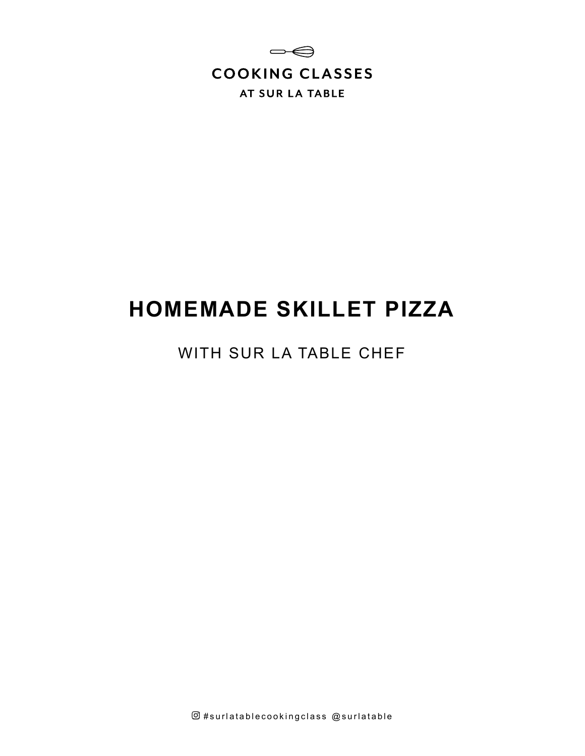

# **HOMEMADE SKILLET PIZZA**

## WITH SUR LA TABLE CHEF

 $@$ #surlatablecookingclass  $@$ surlatable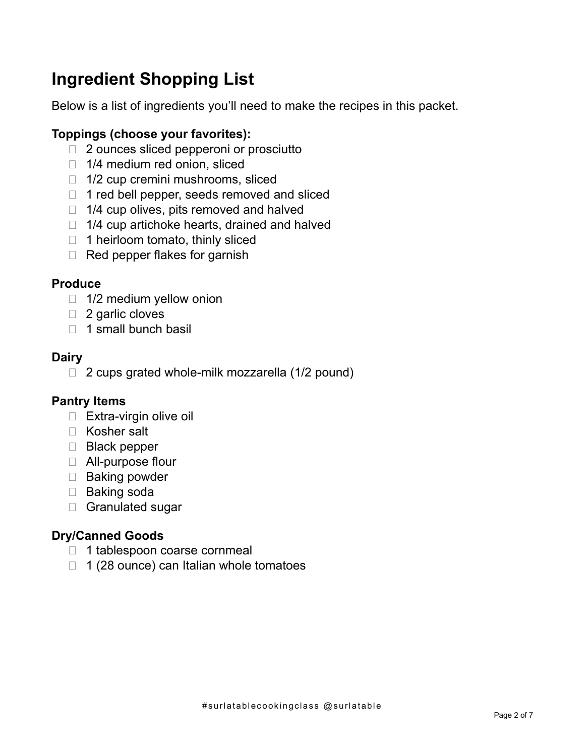# **Ingredient Shopping List**

Below is a list of ingredients you'll need to make the recipes in this packet.

### **Toppings (choose your favorites):**

- □ 2 ounces sliced pepperoni or prosciutto
- 1/4 medium red onion, sliced
- $\Box$  1/2 cup cremini mushrooms, sliced
- $\Box$  1 red bell pepper, seeds removed and sliced
- $\Box$  1/4 cup olives, pits removed and halved
- $\Box$  1/4 cup artichoke hearts, drained and halved
- $\Box$  1 heirloom tomato, thinly sliced
- $\Box$  Red pepper flakes for garnish

#### **Produce**

- $\Box$  1/2 medium yellow onion
- □ 2 garlic cloves
- $\Box$  1 small bunch basil

### **Dairy**

 $\Box$  2 cups grated whole-milk mozzarella (1/2 pound)

#### **Pantry Items**

- □ Extra-virgin olive oil
- □ Kosher salt
- Black pepper
- □ All-purpose flour
- $\Box$  Baking powder
- □ Baking soda
- □ Granulated sugar

#### **Dry/Canned Goods**

- 1 tablespoon coarse cornmeal
- $\Box$  1 (28 ounce) can Italian whole tomatoes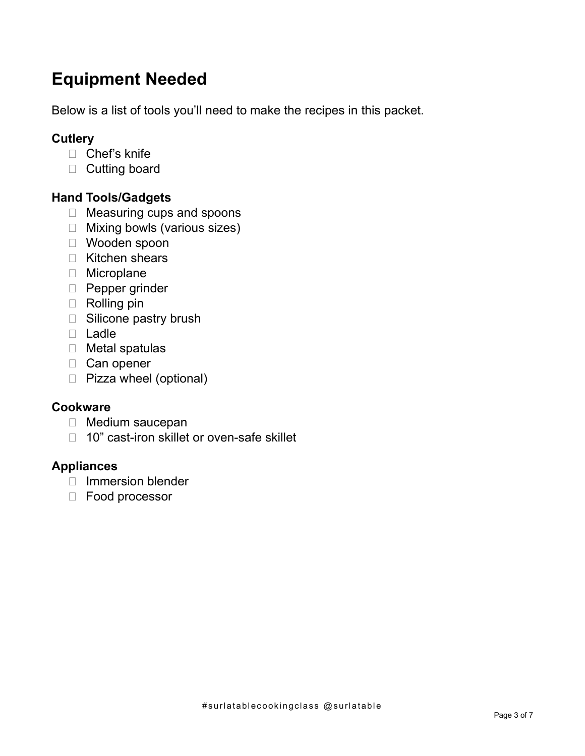# **Equipment Needed**

Below is a list of tools you'll need to make the recipes in this packet.

### **Cutlery**

- □ Chef's knife
- D Cutting board

### **Hand Tools/Gadgets**

- □ Measuring cups and spoons
- □ Mixing bowls (various sizes)
- Wooden spoon
- □ Kitchen shears
- **D** Microplane
- **Pepper grinder**
- Rolling pin
- □ Silicone pastry brush
- D Ladle
- Metal spatulas
- □ Can opener
- □ Pizza wheel (optional)

#### **Cookware**

- □ Medium saucepan
- □ 10" cast-iron skillet or oven-safe skillet

#### **Appliances**

- $\Box$  Immersion blender
- Food processor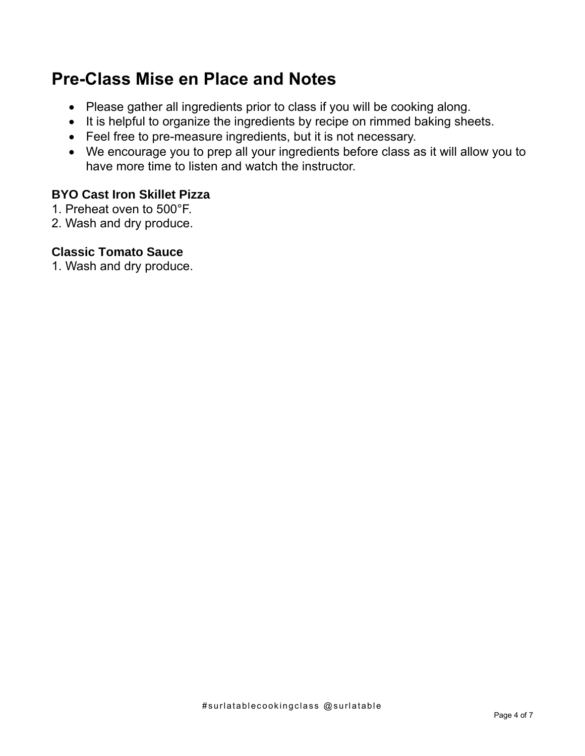# **Pre-Class Mise en Place and Notes**

- Please gather all ingredients prior to class if you will be cooking along.
- It is helpful to organize the ingredients by recipe on rimmed baking sheets.
- Feel free to pre-measure ingredients, but it is not necessary.
- We encourage you to prep all your ingredients before class as it will allow you to have more time to listen and watch the instructor.

### **BYO Cast Iron Skillet Pizza**

- 1. Preheat oven to 500°F.
- 2. Wash and dry produce.

#### **Classic Tomato Sauce**

1. Wash and dry produce.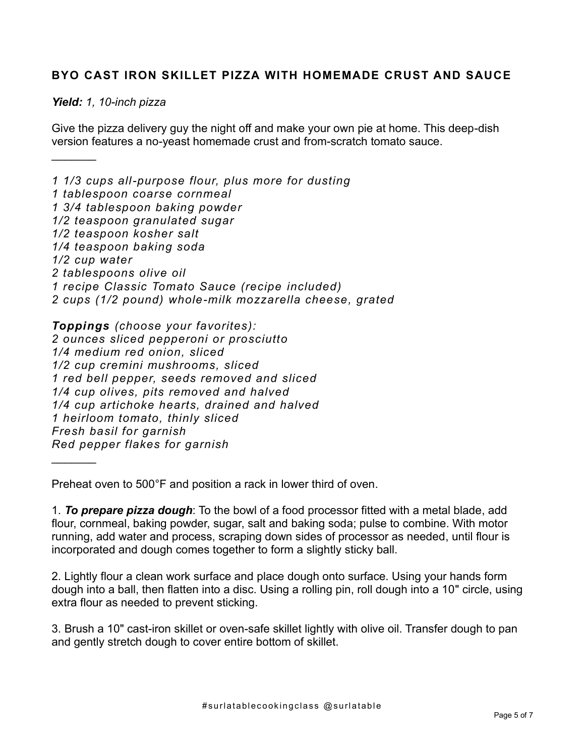#### **BYO CAST IRON SKILLET PIZZA WITH HOMEMADE CRUST AND SAUCE**

#### *Yield: 1, 10-inch pizza*

 $\frac{1}{2}$ 

 $\frac{1}{2}$ 

Give the pizza delivery guy the night off and make your own pie at home. This deep-dish version features a no-yeast homemade crust and from-scratch tomato sauce.

*1 1/3 cups all-purpose flour, plus more for dusting 1 tablespoon coarse cornmeal 1 3/4 tablespoon baking powder 1/2 teaspoon granulated sugar 1/2 teaspoon kosher salt 1/4 teaspoon baking soda 1/2 cup water 2 tablespoons olive oil 1 recipe Classic Tomato Sauce (recipe included) 2 cups (1/2 pound) whole-milk mozzarella cheese, grated* 

*Toppings (choose your favorites): 2 ounces sliced pepperoni or prosciutto 1/4 medium red onion, sliced 1/2 cup cremini mushrooms, sliced 1 red bell pepper, seeds removed and sliced 1/4 cup olives, pits removed and halved 1/4 cup artichoke hearts, drained and halved 1 heirloom tomato, thinly sliced Fresh basil for garnish Red pepper flakes for garnish*

Preheat oven to 500°F and position a rack in lower third of oven.

1. *To prepare pizza dough*: To the bowl of a food processor fitted with a metal blade, add flour, cornmeal, baking powder, sugar, salt and baking soda; pulse to combine. With motor running, add water and process, scraping down sides of processor as needed, until flour is incorporated and dough comes together to form a slightly sticky ball.

2. Lightly flour a clean work surface and place dough onto surface. Using your hands form dough into a ball, then flatten into a disc. Using a rolling pin, roll dough into a 10" circle, using extra flour as needed to prevent sticking.

3. Brush a 10" cast-iron skillet or oven-safe skillet lightly with olive oil. Transfer dough to pan and gently stretch dough to cover entire bottom of skillet.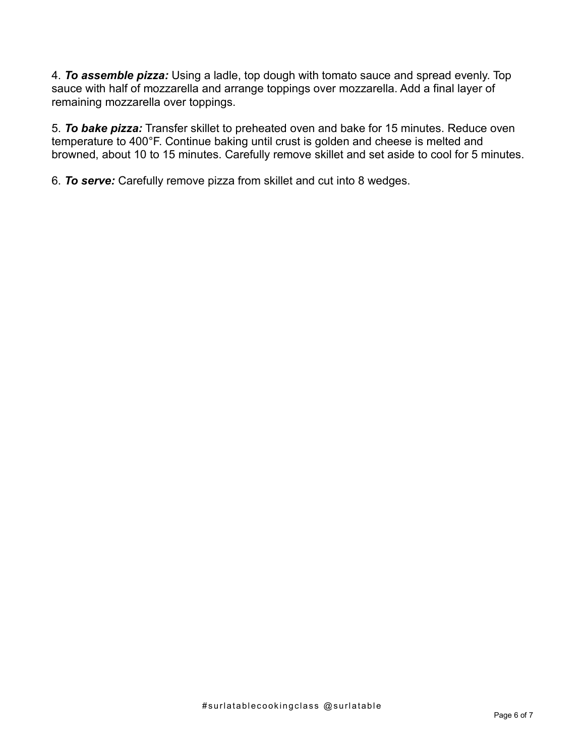4. *To assemble pizza:* Using a ladle, top dough with tomato sauce and spread evenly. Top sauce with half of mozzarella and arrange toppings over mozzarella. Add a final layer of remaining mozzarella over toppings.

5. *To bake pizza:* Transfer skillet to preheated oven and bake for 15 minutes. Reduce oven temperature to 400°F. Continue baking until crust is golden and cheese is melted and browned, about 10 to 15 minutes. Carefully remove skillet and set aside to cool for 5 minutes.

6. *To serve:* Carefully remove pizza from skillet and cut into 8 wedges.